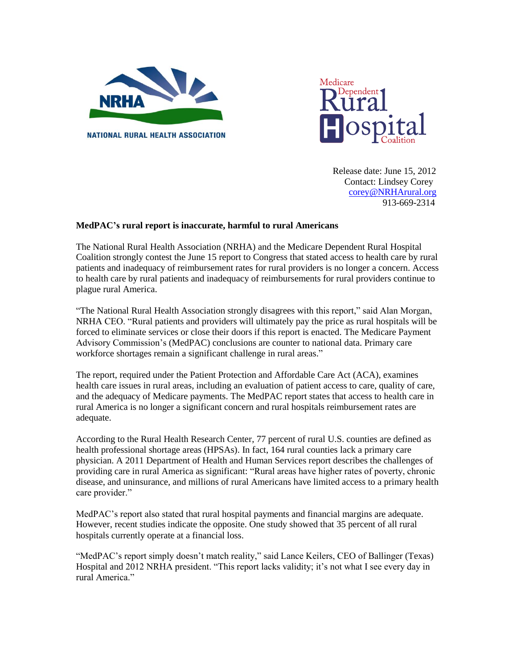



 Release date: June 15, 2012 Contact: Lindsey Corey [corey@NRHArural.org](mailto:corey@NRHArural.org) 913-669-2314

## **MedPAC's rural report is inaccurate, harmful to rural Americans**

The National Rural Health Association (NRHA) and the Medicare Dependent Rural Hospital Coalition strongly contest the June 15 report to Congress that stated access to health care by rural patients and inadequacy of reimbursement rates for rural providers is no longer a concern. Access to health care by rural patients and inadequacy of reimbursements for rural providers continue to plague rural America.

"The National Rural Health Association strongly disagrees with this report," said Alan Morgan, NRHA CEO. "Rural patients and providers will ultimately pay the price as rural hospitals will be forced to eliminate services or close their doors if this report is enacted. The Medicare Payment Advisory Commission's (MedPAC) conclusions are counter to national data. Primary care workforce shortages remain a significant challenge in rural areas."

The report, required under the Patient Protection and Affordable Care Act (ACA), examines health care issues in rural areas, including an evaluation of patient access to care, quality of care, and the adequacy of Medicare payments. The MedPAC report states that access to health care in rural America is no longer a significant concern and rural hospitals reimbursement rates are adequate.

According to the Rural Health Research Center, 77 percent of rural U.S. counties are defined as health professional shortage areas (HPSAs). In fact, 164 rural counties lack a primary care physician. A 2011 Department of Health and Human Services report describes the challenges of providing care in rural America as significant: "Rural areas have higher rates of poverty, chronic disease, and uninsurance, and millions of rural Americans have limited access to a primary health care provider."

MedPAC's report also stated that rural hospital payments and financial margins are adequate. However, recent studies indicate the opposite. One study showed that 35 percent of all rural hospitals currently operate at a financial loss.

"MedPAC's report simply doesn't match reality," said Lance Keilers, CEO of Ballinger (Texas) Hospital and 2012 NRHA president. "This report lacks validity; it's not what I see every day in rural America."